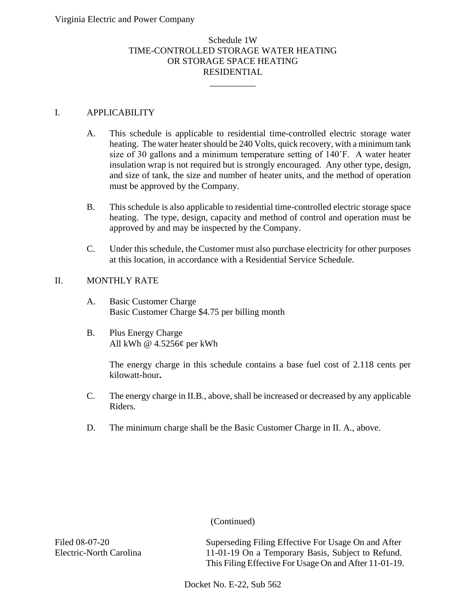# Schedule 1W TIME-CONTROLLED STORAGE WATER HEATING OR STORAGE SPACE HEATING RESIDENTIAL

\_\_\_\_\_\_\_\_\_\_

## I. APPLICABILITY

- A. This schedule is applicable to residential time-controlled electric storage water heating. The water heater should be 240 Volts, quick recovery, with a minimum tank size of 30 gallons and a minimum temperature setting of 140˚F. A water heater insulation wrap is not required but is strongly encouraged. Any other type, design, and size of tank, the size and number of heater units, and the method of operation must be approved by the Company.
- B. This schedule is also applicable to residential time-controlled electric storage space heating. The type, design, capacity and method of control and operation must be approved by and may be inspected by the Company.
- C. Under this schedule, the Customer must also purchase electricity for other purposes at this location, in accordance with a Residential Service Schedule.

# II. MONTHLY RATE

- A. Basic Customer Charge Basic Customer Charge \$4.75 per billing month
- B. Plus Energy Charge All kWh @ 4.5256¢ per kWh

The energy charge in this schedule contains a base fuel cost of 2.118 cents per kilowatt-hour**.**

- C. The energy charge in II.B., above, shall be increased or decreased by any applicable Riders.
- D. The minimum charge shall be the Basic Customer Charge in II. A., above.

(Continued)

Filed 08-07-20 Electric-North Carolina Superseding Filing Effective For Usage On and After 11-01-19 On a Temporary Basis, Subject to Refund. This Filing Effective For Usage On and After 11-01-19.

Docket No. E-22, Sub 562